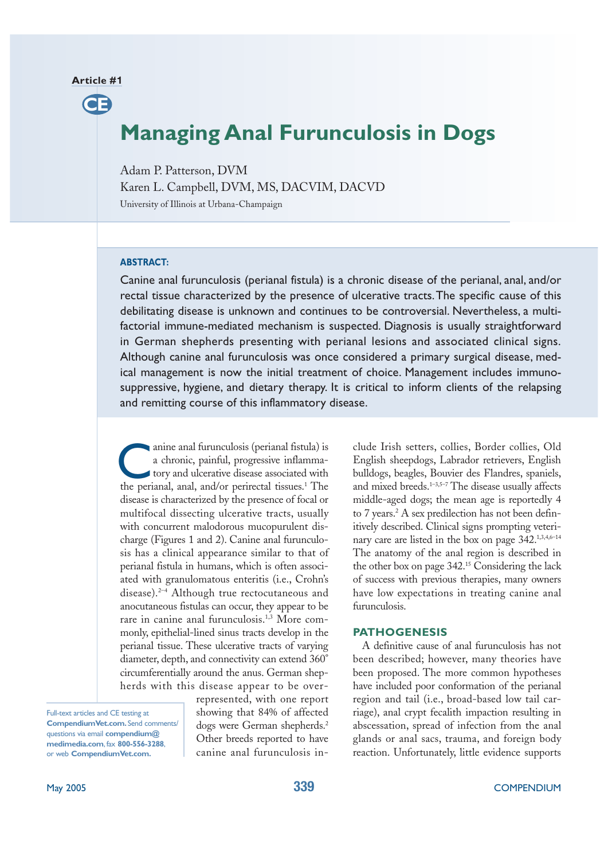#### **Article #1**

**CE**

# **Managing Anal Furunculosis in Dogs**

Adam P. Patterson, DVM

Karen L. Campbell, DVM, MS, DACVIM, DACVD

University of Illinois at Urbana-Champaign

#### **ABSTRACT:**

Canine anal furunculosis (perianal fistula) is a chronic disease of the perianal, anal, and/or rectal tissue characterized by the presence of ulcerative tracts.The specific cause of this debilitating disease is unknown and continues to be controversial. Nevertheless, a multifactorial immune-mediated mechanism is suspected. Diagnosis is usually straightforward in German shepherds presenting with perianal lesions and associated clinical signs. Although canine anal furunculosis was once considered a primary surgical disease, medical management is now the initial treatment of choice. Management includes immunosuppressive, hygiene, and dietary therapy. It is critical to inform clients of the relapsing and remitting course of this inflammatory disease.

anine anal furunculosis (perianal fistula) is a chronic, painful, progressive inflammatory and ulcerative disease associated with anine anal furunculosis (perianal fistula) is<br>a chronic, painful, progressive inflamma-<br>tory and ulcerative disease associated with<br>the perianal, anal, and/or perirectal tissues.<sup>1</sup> The disease is characterized by the presence of focal or multifocal dissecting ulcerative tracts, usually with concurrent malodorous mucopurulent discharge (Figures 1 and 2). Canine anal furunculosis has a clinical appearance similar to that of perianal fistula in humans, which is often associated with granulomatous enteritis (i.e., Crohn's disease).2–4 Although true rectocutaneous and anocutaneous fistulas can occur, they appear to be rare in canine anal furunculosis.<sup>1,3</sup> More commonly, epithelial-lined sinus tracts develop in the perianal tissue. These ulcerative tracts of varying diameter, depth, and connectivity can extend 360° circumferentially around the anus. German shepherds with this disease appear to be over-

Full-text articles and CE testing at **CompendiumVet.com.** Send comments/ questions via email **compendium@ medimedia.com**, fax **800-556-3288**, or web **CompendiumVet.com.**

represented, with one report showing that 84% of affected dogs were German shepherds.<sup>2</sup> Other breeds reported to have canine anal furunculosis include Irish setters, collies, Border collies, Old English sheepdogs, Labrador retrievers, English bulldogs, beagles, Bouvier des Flandres, spaniels, and mixed breeds.1–3,5–7 The disease usually affects middle-aged dogs; the mean age is reportedly 4 to 7 years.<sup>2</sup> A sex predilection has not been definitively described. Clinical signs prompting veterinary care are listed in the box on page 342.<sup>1,3,4,6-14</sup> The anatomy of the anal region is described in the other box on page 342.<sup>15</sup> Considering the lack of success with previous therapies, many owners have low expectations in treating canine anal furunculosis.

#### **PATHOGENESIS**

A definitive cause of anal furunculosis has not been described; however, many theories have been proposed. The more common hypotheses have included poor conformation of the perianal region and tail (i.e., broad-based low tail carriage), anal crypt fecalith impaction resulting in abscessation, spread of infection from the anal glands or anal sacs, trauma, and foreign body reaction. Unfortunately, little evidence supports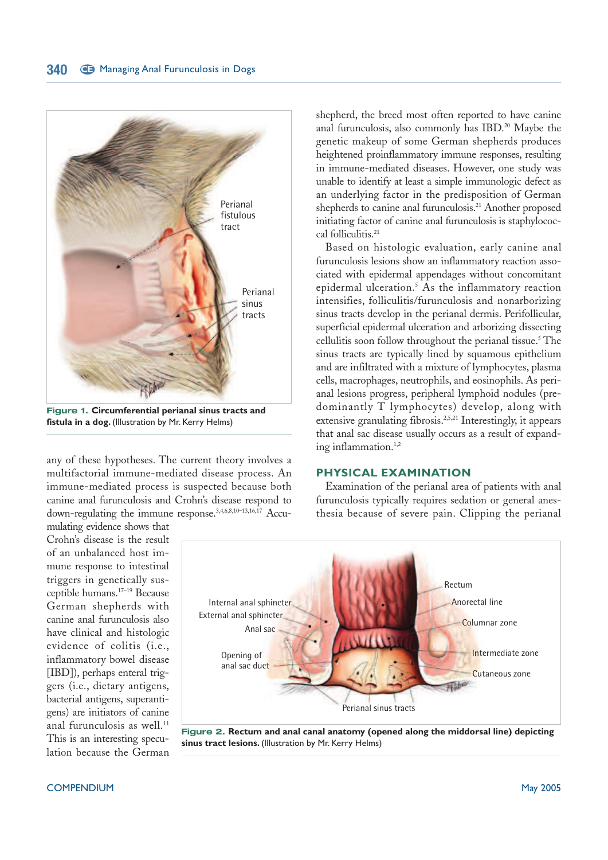

**Figure 1. Circumferential perianal sinus tracts and fistula in a dog.** (Illustration by Mr. Kerry Helms)

any of these hypotheses. The current theory involves a multifactorial immune-mediated disease process. An immune-mediated process is suspected because both canine anal furunculosis and Crohn's disease respond to down-regulating the immune response.3,4,6,8,10–13,16,17 Accu-

mulating evidence shows that Crohn's disease is the result of an unbalanced host immune response to intestinal triggers in genetically susceptible humans.17–19 Because German shepherds with canine anal furunculosis also have clinical and histologic evidence of colitis (i.e., inflammatory bowel disease [IBD]), perhaps enteral triggers (i.e., dietary antigens, bacterial antigens, superantigens) are initiators of canine anal furunculosis as well.<sup>11</sup> This is an interesting speculation because the German

shepherd, the breed most often reported to have canine anal furunculosis, also commonly has IBD.<sup>20</sup> Maybe the genetic makeup of some German shepherds produces heightened proinflammatory immune responses, resulting in immune-mediated diseases. However, one study was unable to identify at least a simple immunologic defect as an underlying factor in the predisposition of German shepherds to canine anal furunculosis.<sup>21</sup> Another proposed initiating factor of canine anal furunculosis is staphylococcal folliculitis.<sup>21</sup>

Based on histologic evaluation, early canine anal furunculosis lesions show an inflammatory reaction associated with epidermal appendages without concomitant epidermal ulceration.<sup>5</sup> As the inflammatory reaction intensifies, folliculitis/furunculosis and nonarborizing sinus tracts develop in the perianal dermis. Perifollicular, superficial epidermal ulceration and arborizing dissecting cellulitis soon follow throughout the perianal tissue. <sup>5</sup> The sinus tracts are typically lined by squamous epithelium and are infiltrated with a mixture of lymphocytes, plasma cells, macrophages, neutrophils, and eosinophils. As perianal lesions progress, peripheral lymphoid nodules (predominantly T lymphocytes) develop, along with extensive granulating fibrosis.<sup>2,5,21</sup> Interestingly, it appears that anal sac disease usually occurs as a result of expanding inflammation.<sup>1,2</sup>

#### **PHYSICAL EXAMINATION**

Examination of the perianal area of patients with anal furunculosis typically requires sedation or general anesthesia because of severe pain. Clipping the perianal



**Figure 2. Rectum and anal canal anatomy (opened along the middorsal line) depicting sinus tract lesions.** (Illustration by Mr. Kerry Helms)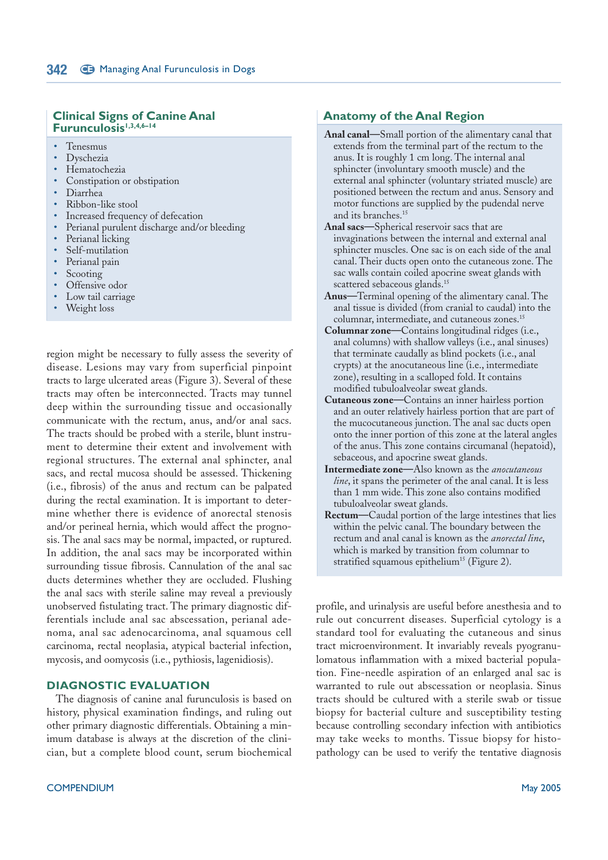#### **Clinical Signs of Canine Anal Furunculosis1,3,4,6–14**

- Tenesmus
- Dyschezia
- Hematochezia
- Constipation or obstipation
- Diarrhea
- Ribbon-like stool
- Increased frequency of defecation
- Perianal purulent discharge and/or bleeding
- Perianal licking
- Self-mutilation
- Perianal pain
- **Scooting**
- Offensive odor
- Low tail carriage
- Weight loss

region might be necessary to fully assess the severity of disease. Lesions may vary from superficial pinpoint tracts to large ulcerated areas (Figure 3). Several of these tracts may often be interconnected. Tracts may tunnel deep within the surrounding tissue and occasionally communicate with the rectum, anus, and/or anal sacs. The tracts should be probed with a sterile, blunt instrument to determine their extent and involvement with regional structures. The external anal sphincter, anal sacs, and rectal mucosa should be assessed. Thickening (i.e., fibrosis) of the anus and rectum can be palpated during the rectal examination. It is important to determine whether there is evidence of anorectal stenosis and/or perineal hernia, which would affect the prognosis. The anal sacs may be normal, impacted, or ruptured. In addition, the anal sacs may be incorporated within surrounding tissue fibrosis. Cannulation of the anal sac ducts determines whether they are occluded. Flushing the anal sacs with sterile saline may reveal a previously unobserved fistulating tract. The primary diagnostic differentials include anal sac abscessation, perianal adenoma, anal sac adenocarcinoma, anal squamous cell carcinoma, rectal neoplasia, atypical bacterial infection, mycosis, and oomycosis (i.e., pythiosis, lagenidiosis).

#### **DIAGNOSTIC EVALUATION**

The diagnosis of canine anal furunculosis is based on history, physical examination findings, and ruling out other primary diagnostic differentials. Obtaining a minimum database is always at the discretion of the clinician, but a complete blood count, serum biochemical

#### **Anatomy of the Anal Region**

- **Anal canal—**Small portion of the alimentary canal that extends from the terminal part of the rectum to the anus. It is roughly 1 cm long. The internal anal sphincter (involuntary smooth muscle) and the external anal sphincter (voluntary striated muscle) are positioned between the rectum and anus. Sensory and motor functions are supplied by the pudendal nerve and its branches.<sup>15</sup>
- **Anal sacs—**Spherical reservoir sacs that are invaginations between the internal and external anal sphincter muscles. One sac is on each side of the anal canal. Their ducts open onto the cutaneous zone. The sac walls contain coiled apocrine sweat glands with scattered sebaceous glands.<sup>15</sup>
- **Anus—**Terminal opening of the alimentary canal. The anal tissue is divided (from cranial to caudal) into the columnar, intermediate, and cutaneous zones.<sup>15</sup>
- **Columnar zone—**Contains longitudinal ridges (i.e., anal columns) with shallow valleys (i.e., anal sinuses) that terminate caudally as blind pockets (i.e., anal crypts) at the anocutaneous line (i.e., intermediate zone), resulting in a scalloped fold. It contains modified tubuloalveolar sweat glands.
- **Cutaneous zone—**Contains an inner hairless portion and an outer relatively hairless portion that are part of the mucocutaneous junction. The anal sac ducts open onto the inner portion of this zone at the lateral angles of the anus. This zone contains circumanal (hepatoid), sebaceous, and apocrine sweat glands.
- **Intermediate zone—**Also known as the *anocutaneous line*, it spans the perimeter of the anal canal. It is less than 1 mm wide. This zone also contains modified tubuloalveolar sweat glands.
- **Rectum—**Caudal portion of the large intestines that lies within the pelvic canal. The boundary between the rectum and anal canal is known as the *anorectal line*, which is marked by transition from columnar to stratified squamous epithelium<sup>15</sup> (Figure 2).

profile, and urinalysis are useful before anesthesia and to rule out concurrent diseases. Superficial cytology is a standard tool for evaluating the cutaneous and sinus tract microenvironment. It invariably reveals pyogranulomatous inflammation with a mixed bacterial population. Fine-needle aspiration of an enlarged anal sac is warranted to rule out abscessation or neoplasia. Sinus tracts should be cultured with a sterile swab or tissue biopsy for bacterial culture and susceptibility testing because controlling secondary infection with antibiotics may take weeks to months. Tissue biopsy for histopathology can be used to verify the tentative diagnosis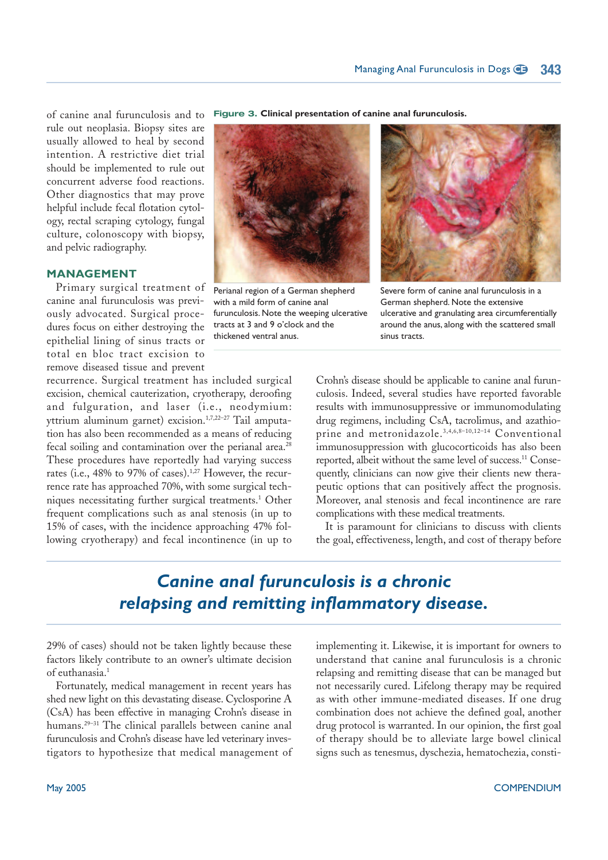of canine anal furunculosis and to rule out neoplasia. Biopsy sites are usually allowed to heal by second intention. A restrictive diet trial should be implemented to rule out concurrent adverse food reactions. Other diagnostics that may prove helpful include fecal flotation cytology, rectal scraping cytology, fungal culture, colonoscopy with biopsy, and pelvic radiography.

#### **MANAGEMENT**

Primary surgical treatment of canine anal furunculosis was previously advocated. Surgical procedures focus on either destroying the epithelial lining of sinus tracts or total en bloc tract excision to remove diseased tissue and prevent

recurrence. Surgical treatment has included surgical excision, chemical cauterization, cryotherapy, deroofing and fulguration, and laser (i.e., neodymium: yttrium aluminum garnet) excision.<sup>1,7,22-27</sup> Tail amputation has also been recommended as a means of reducing fecal soiling and contamination over the perianal area.<sup>28</sup> These procedures have reportedly had varying success rates (i.e., 48% to 97% of cases).<sup>1,27</sup> However, the recurrence rate has approached 70%, with some surgical techniques necessitating further surgical treatments.<sup>1</sup> Other frequent complications such as anal stenosis (in up to 15% of cases, with the incidence approaching 47% following cryotherapy) and fecal incontinence (in up to

**Figure 3. Clinical presentation of canine anal furunculosis.**



Perianal region of a German shepherd with a mild form of canine anal furunculosis. Note the weeping ulcerative tracts at 3 and 9 o'clock and the thickened ventral anus.



Severe form of canine anal furunculosis in a German shepherd. Note the extensive ulcerative and granulating area circumferentially around the anus, along with the scattered small sinus tracts.

Crohn's disease should be applicable to canine anal furunculosis. Indeed, several studies have reported favorable results with immunosuppressive or immunomodulating drug regimens, including CsA, tacrolimus, and azathioprine and metronidazole.3,4,6,8–10,12–14 Conventional immunosuppression with glucocorticoids has also been reported, albeit without the same level of success.<sup>11</sup> Consequently, clinicians can now give their clients new therapeutic options that can positively affect the prognosis. Moreover, anal stenosis and fecal incontinence are rare complications with these medical treatments.

It is paramount for clinicians to discuss with clients the goal, effectiveness, length, and cost of therapy before

### *Canine anal furunculosis is a chronic relapsing and remitting inflammatory disease.*

29% of cases) should not be taken lightly because these factors likely contribute to an owner's ultimate decision of euthanasia.<sup>1</sup>

Fortunately, medical management in recent years has shed new light on this devastating disease. Cyclosporine A (CsA) has been effective in managing Crohn's disease in humans.<sup>29-31</sup> The clinical parallels between canine anal furunculosis and Crohn's disease have led veterinary investigators to hypothesize that medical management of implementing it. Likewise, it is important for owners to understand that canine anal furunculosis is a chronic relapsing and remitting disease that can be managed but not necessarily cured. Lifelong therapy may be required as with other immune-mediated diseases. If one drug combination does not achieve the defined goal, another drug protocol is warranted. In our opinion, the first goal of therapy should be to alleviate large bowel clinical signs such as tenesmus, dyschezia, hematochezia, consti-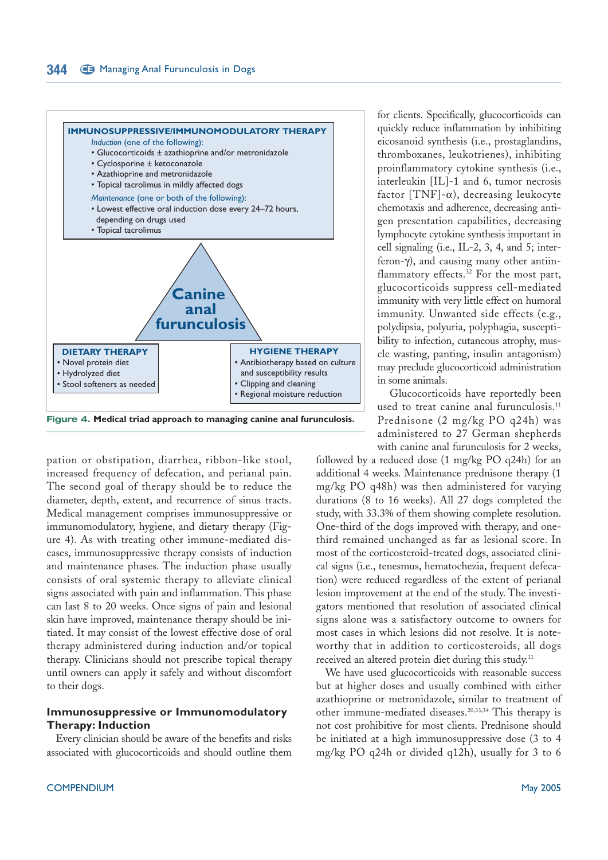

pation or obstipation, diarrhea, ribbon-like stool, increased frequency of defecation, and perianal pain. The second goal of therapy should be to reduce the diameter, depth, extent, and recurrence of sinus tracts. Medical management comprises immunosuppressive or immunomodulatory, hygiene, and dietary therapy (Figure 4). As with treating other immune-mediated diseases, immunosuppressive therapy consists of induction and maintenance phases. The induction phase usually consists of oral systemic therapy to alleviate clinical signs associated with pain and inflammation. This phase can last 8 to 20 weeks. Once signs of pain and lesional skin have improved, maintenance therapy should be initiated. It may consist of the lowest effective dose of oral therapy administered during induction and/or topical therapy. Clinicians should not prescribe topical therapy until owners can apply it safely and without discomfort to their dogs.

#### **Immunosuppressive or Immunomodulatory Therapy: Induction**

Every clinician should be aware of the benefits and risks associated with glucocorticoids and should outline them

for clients. Specifically, glucocorticoids can quickly reduce inflammation by inhibiting eicosanoid synthesis (i.e., prostaglandins, thromboxanes, leukotrienes), inhibiting proinflammatory cytokine synthesis (i.e., interleukin [IL]-1 and 6, tumor necrosis factor [TNF]- $\alpha$ ), decreasing leukocyte chemotaxis and adherence, decreasing antigen presentation capabilities, decreasing lymphocyte cytokine synthesis important in cell signaling (i.e., IL-2, 3, 4, and 5; interferon-γ), and causing many other antiinflammatory effects.<sup>32</sup> For the most part, glucocorticoids suppress cell-mediated immunity with very little effect on humoral immunity. Unwanted side effects (e.g., polydipsia, polyuria, polyphagia, susceptibility to infection, cutaneous atrophy, muscle wasting, panting, insulin antagonism) may preclude glucocorticoid administration in some animals.

Glucocorticoids have reportedly been used to treat canine anal furunculosis.<sup>11</sup> Prednisone (2 mg/kg PO q24h) was administered to 27 German shepherds with canine anal furunculosis for 2 weeks,

followed by a reduced dose (1 mg/kg PO q24h) for an additional 4 weeks. Maintenance prednisone therapy (1 mg/kg PO q48h) was then administered for varying durations (8 to 16 weeks). All 27 dogs completed the study, with 33.3% of them showing complete resolution. One-third of the dogs improved with therapy, and onethird remained unchanged as far as lesional score. In most of the corticosteroid-treated dogs, associated clinical signs (i.e., tenesmus, hematochezia, frequent defecation) were reduced regardless of the extent of perianal lesion improvement at the end of the study. The investigators mentioned that resolution of associated clinical signs alone was a satisfactory outcome to owners for most cases in which lesions did not resolve. It is noteworthy that in addition to corticosteroids, all dogs received an altered protein diet during this study.<sup>11</sup>

We have used glucocorticoids with reasonable success but at higher doses and usually combined with either azathioprine or metronidazole, similar to treatment of other immune-mediated diseases.20,33,34 This therapy is not cost prohibitive for most clients. Prednisone should be initiated at a high immunosuppressive dose (3 to 4 mg/kg PO q24h or divided q12h), usually for 3 to 6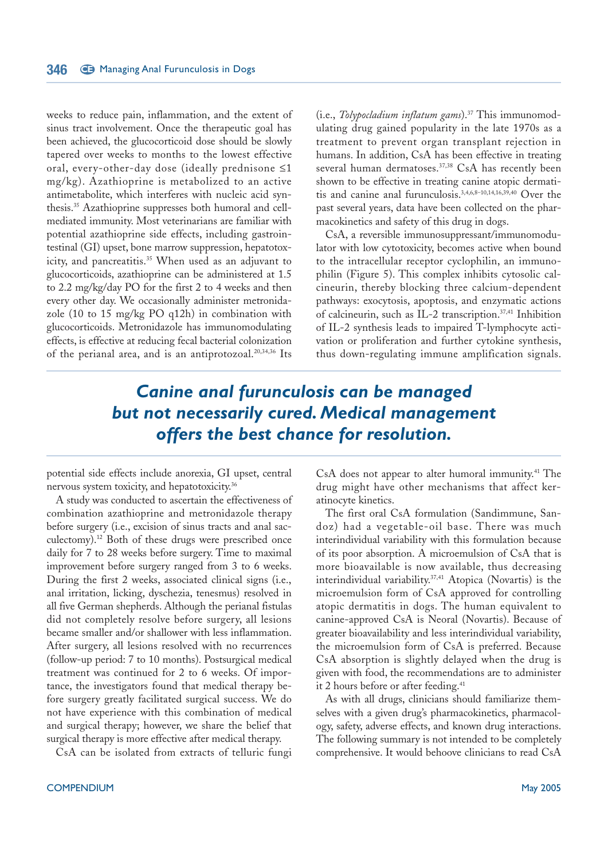weeks to reduce pain, inflammation, and the extent of sinus tract involvement. Once the therapeutic goal has been achieved, the glucocorticoid dose should be slowly tapered over weeks to months to the lowest effective oral, every-other-day dose (ideally prednisone ≤1 mg/kg). Azathioprine is metabolized to an active antimetabolite, which interferes with nucleic acid synthesis.<sup>35</sup> Azathioprine suppresses both humoral and cellmediated immunity. Most veterinarians are familiar with potential azathioprine side effects, including gastrointestinal (GI) upset, bone marrow suppression, hepatotoxicity, and pancreatitis.<sup>35</sup> When used as an adjuvant to glucocorticoids, azathioprine can be administered at 1.5 to 2.2 mg/kg/day PO for the first 2 to 4 weeks and then every other day. We occasionally administer metronidazole (10 to 15 mg/kg PO q12h) in combination with glucocorticoids. Metronidazole has immunomodulating effects, is effective at reducing fecal bacterial colonization of the perianal area, and is an antiprotozoal.<sup>20,34,36</sup> Its

(i.e., *Tolypocladium inflatum gams*).<sup>37</sup> This immunomodulating drug gained popularity in the late 1970s as a treatment to prevent organ transplant rejection in humans. In addition, CsA has been effective in treating several human dermatoses.<sup>37,38</sup> CsA has recently been shown to be effective in treating canine atopic dermatitis and canine anal furunculosis.3,4,6,8–10,14,16,39,40 Over the past several years, data have been collected on the pharmacokinetics and safety of this drug in dogs.

CsA, a reversible immunosuppressant/immunomodulator with low cytotoxicity, becomes active when bound to the intracellular receptor cyclophilin, an immunophilin (Figure 5). This complex inhibits cytosolic calcineurin, thereby blocking three calcium-dependent pathways: exocytosis, apoptosis, and enzymatic actions of calcineurin, such as IL-2 transcription.37,41 Inhibition of IL-2 synthesis leads to impaired T-lymphocyte activation or proliferation and further cytokine synthesis, thus down-regulating immune amplification signals.

## *Canine anal furunculosis can be managed but not necessarily cured. Medical management offers the best chance for resolution.*

potential side effects include anorexia, GI upset, central nervous system toxicity, and hepatotoxicity.<sup>36</sup>

A study was conducted to ascertain the effectiveness of combination azathioprine and metronidazole therapy before surgery (i.e., excision of sinus tracts and anal sacculectomy).<sup>12</sup> Both of these drugs were prescribed once daily for 7 to 28 weeks before surgery. Time to maximal improvement before surgery ranged from 3 to 6 weeks. During the first 2 weeks, associated clinical signs (i.e., anal irritation, licking, dyschezia, tenesmus) resolved in all five German shepherds. Although the perianal fistulas did not completely resolve before surgery, all lesions became smaller and/or shallower with less inflammation. After surgery, all lesions resolved with no recurrences (follow-up period: 7 to 10 months). Postsurgical medical treatment was continued for 2 to 6 weeks. Of importance, the investigators found that medical therapy before surgery greatly facilitated surgical success. We do not have experience with this combination of medical and surgical therapy; however, we share the belief that surgical therapy is more effective after medical therapy.

CsA can be isolated from extracts of telluric fungi

CsA does not appear to alter humoral immunity.<sup>41</sup> The drug might have other mechanisms that affect keratinocyte kinetics.

The first oral CsA formulation (Sandimmune, Sandoz) had a vegetable-oil base. There was much interindividual variability with this formulation because of its poor absorption. A microemulsion of CsA that is more bioavailable is now available, thus decreasing interindividual variability.<sup>37,41</sup> Atopica (Novartis) is the microemulsion form of CsA approved for controlling atopic dermatitis in dogs. The human equivalent to canine-approved CsA is Neoral (Novartis). Because of greater bioavailability and less interindividual variability, the microemulsion form of CsA is preferred. Because CsA absorption is slightly delayed when the drug is given with food, the recommendations are to administer it 2 hours before or after feeding.<sup>41</sup>

As with all drugs, clinicians should familiarize themselves with a given drug's pharmacokinetics, pharmacology, safety, adverse effects, and known drug interactions. The following summary is not intended to be completely comprehensive. It would behoove clinicians to read CsA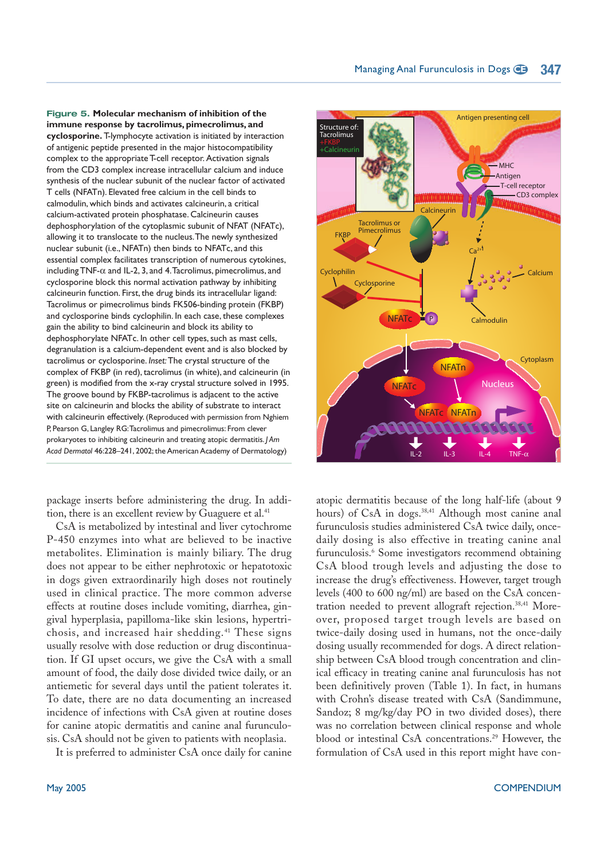**Figure 5. Molecular mechanism of inhibition of the immune response by tacrolimus, pimecrolimus, and cyclosporine.** T-lymphocyte activation is initiated by interaction of antigenic peptide presented in the major histocompatibility complex to the appropriate T-cell receptor. Activation signals from the CD3 complex increase intracellular calcium and induce synthesis of the nuclear subunit of the nuclear factor of activated T cells (NFATn). Elevated free calcium in the cell binds to calmodulin, which binds and activates calcineurin, a critical calcium-activated protein phosphatase. Calcineurin causes dephosphorylation of the cytoplasmic subunit of NFAT (NFATc), allowing it to translocate to the nucleus.The newly synthesized nuclear subunit (i.e., NFATn) then binds to NFATc, and this essential complex facilitates transcription of numerous cytokines, including TNF-α and IL-2, 3, and 4.Tacrolimus, pimecrolimus, and cyclosporine block this normal activation pathway by inhibiting calcineurin function. First, the drug binds its intracellular ligand: Tacrolimus or pimecrolimus binds FK506-binding protein (FKBP) and cyclosporine binds cyclophilin. In each case, these complexes gain the ability to bind calcineurin and block its ability to dephosphorylate NFATc. In other cell types, such as mast cells, degranulation is a calcium-dependent event and is also blocked by tacrolimus or cyclosporine. *Inset:*The crystal structure of the complex of FKBP (in red), tacrolimus (in white), and calcineurin (in green) is modified from the x-ray crystal structure solved in 1995. The groove bound by FKBP-tacrolimus is adjacent to the active site on calcineurin and blocks the ability of substrate to interact with calcineurin effectively. (Reproduced with permission from Nghiem P, Pearson G, Langley RG:Tacrolimus and pimecrolimus: From clever prokaryotes to inhibiting calcineurin and treating atopic dermatitis. *J Am Acad Dermatol* 46:228–241, 2002; the American Academy of Dermatology)

package inserts before administering the drug. In addition, there is an excellent review by Guaguere et al.<sup>41</sup>

CsA is metabolized by intestinal and liver cytochrome P-450 enzymes into what are believed to be inactive metabolites. Elimination is mainly biliary. The drug does not appear to be either nephrotoxic or hepatotoxic in dogs given extraordinarily high doses not routinely used in clinical practice. The more common adverse effects at routine doses include vomiting, diarrhea, gingival hyperplasia, papilloma-like skin lesions, hypertrichosis, and increased hair shedding.<sup>41</sup> These signs usually resolve with dose reduction or drug discontinuation. If GI upset occurs, we give the CsA with a small amount of food, the daily dose divided twice daily, or an antiemetic for several days until the patient tolerates it. To date, there are no data documenting an increased incidence of infections with CsA given at routine doses for canine atopic dermatitis and canine anal furunculosis. CsA should not be given to patients with neoplasia.

It is preferred to administer CsA once daily for canine



atopic dermatitis because of the long half-life (about 9 hours) of CsA in dogs.<sup>38,41</sup> Although most canine anal furunculosis studies administered CsA twice daily, oncedaily dosing is also effective in treating canine anal furunculosis.<sup>6</sup> Some investigators recommend obtaining CsA blood trough levels and adjusting the dose to increase the drug's effectiveness. However, target trough levels (400 to 600 ng/ml) are based on the CsA concentration needed to prevent allograft rejection.<sup>38,41</sup> Moreover, proposed target trough levels are based on twice-daily dosing used in humans, not the once-daily dosing usually recommended for dogs. A direct relationship between CsA blood trough concentration and clinical efficacy in treating canine anal furunculosis has not been definitively proven (Table 1). In fact, in humans with Crohn's disease treated with CsA (Sandimmune, Sandoz; 8 mg/kg/day PO in two divided doses), there was no correlation between clinical response and whole blood or intestinal CsA concentrations.<sup>29</sup> However, the formulation of CsA used in this report might have con-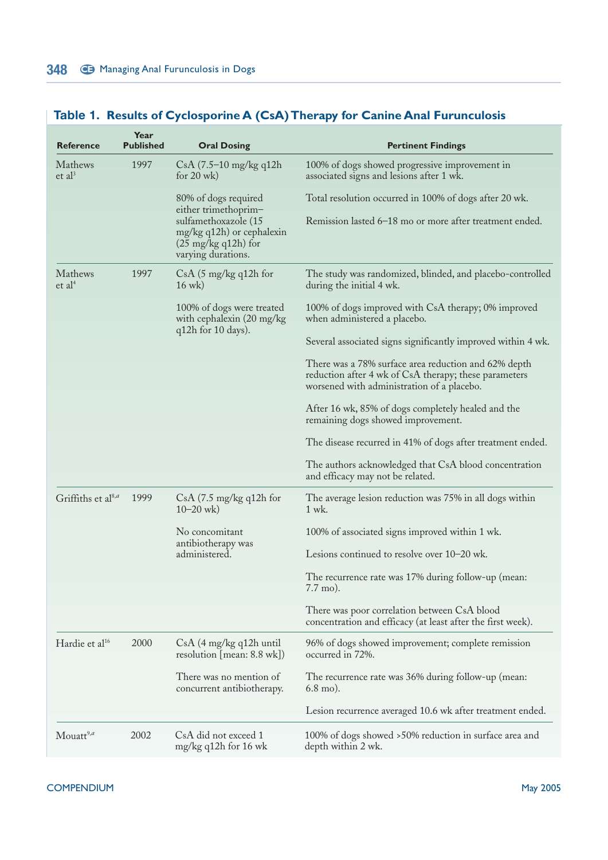| <b>Reference</b>                | Year<br><b>Published</b> | <b>Oral Dosing</b>                                                                                       | <b>Pertinent Findings</b>                                                                                                                                   |
|---------------------------------|--------------------------|----------------------------------------------------------------------------------------------------------|-------------------------------------------------------------------------------------------------------------------------------------------------------------|
| Mathews<br>et al <sup>3</sup>   | 1997                     | CsA (7.5–10 mg/kg q12h)<br>for $20$ wk)                                                                  | 100% of dogs showed progressive improvement in<br>associated signs and lesions after 1 wk.                                                                  |
|                                 |                          | 80% of dogs required<br>either trimethoprim-                                                             | Total resolution occurred in 100% of dogs after 20 wk.                                                                                                      |
|                                 |                          | sulfamethoxazole (15<br>mg/kg q12h) or cephalexin<br>$(25 \text{ mg/kg} q12h)$ for<br>varying durations. | Remission lasted 6-18 mo or more after treatment ended.                                                                                                     |
| Mathews<br>et al <sup>4</sup>   | 1997                     | $CsA$ (5 mg/kg q12h for<br>$16$ wk)                                                                      | The study was randomized, blinded, and placebo-controlled<br>during the initial 4 wk.                                                                       |
|                                 |                          | 100% of dogs were treated<br>with cephalexin (20 mg/kg)<br>q12h for 10 days).                            | 100% of dogs improved with CsA therapy; 0% improved<br>when administered a placebo.                                                                         |
|                                 |                          |                                                                                                          | Several associated signs significantly improved within 4 wk.                                                                                                |
|                                 |                          |                                                                                                          | There was a 78% surface area reduction and 62% depth<br>reduction after 4 wk of CsA therapy; these parameters<br>worsened with administration of a placebo. |
|                                 |                          |                                                                                                          | After 16 wk, 85% of dogs completely healed and the<br>remaining dogs showed improvement.                                                                    |
|                                 |                          |                                                                                                          | The disease recurred in 41% of dogs after treatment ended.                                                                                                  |
|                                 |                          |                                                                                                          | The authors acknowledged that CsA blood concentration<br>and efficacy may not be related.                                                                   |
| Griffiths et al <sup>8,a</sup>  | 1999                     | $CsA$ (7.5 mg/kg q12h for<br>$10 - 20$ wk)                                                               | The average lesion reduction was 75% in all dogs within<br>1 wk.                                                                                            |
|                                 |                          | No concomitant                                                                                           | 100% of associated signs improved within 1 wk.                                                                                                              |
|                                 |                          | antibiotherapy was<br>administered.                                                                      | Lesions continued to resolve over 10–20 wk.                                                                                                                 |
|                                 |                          |                                                                                                          | The recurrence rate was 17% during follow-up (mean:<br>$7.7 \,\mathrm{mo}$ ).                                                                               |
|                                 |                          |                                                                                                          | There was poor correlation between CsA blood<br>concentration and efficacy (at least after the first week).                                                 |
| Hardie et al <sup>16</sup>      | 2000                     | $CsA$ (4 mg/kg q12h until<br>resolution [mean: 8.8 wk])                                                  | 96% of dogs showed improvement; complete remission<br>occurred in 72%.                                                                                      |
|                                 |                          | There was no mention of<br>concurrent antibiotherapy.                                                    | The recurrence rate was 36% during follow-up (mean:<br>$6.8$ mo).                                                                                           |
|                                 |                          |                                                                                                          | Lesion recurrence averaged 10.6 wk after treatment ended.                                                                                                   |
| $M$ ouatt <sup>9,<i>a</i></sup> | 2002                     | CsA did not exceed 1<br>mg/kg q12h for 16 wk                                                             | 100% of dogs showed >50% reduction in surface area and<br>depth within 2 wk.                                                                                |

### **Table 1. Results of Cyclosporine A (CsA) Therapy for Canine Anal Furunculosis**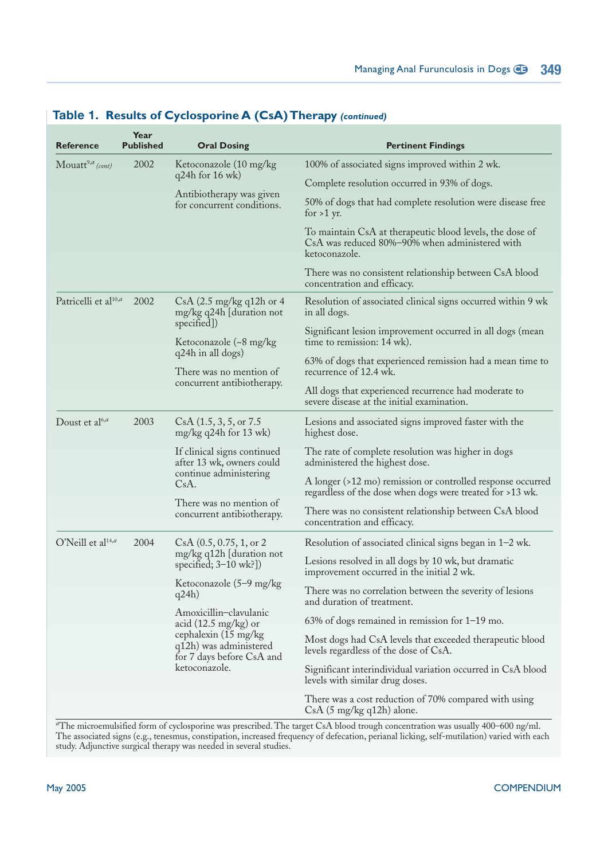| <b>Reference</b>                    | Year<br><b>Published</b> | <b>Oral Dosing</b>                                                                                                                                  | <b>Pertinent Findings</b>                                                                                                   |
|-------------------------------------|--------------------------|-----------------------------------------------------------------------------------------------------------------------------------------------------|-----------------------------------------------------------------------------------------------------------------------------|
| Mouatt <sup>9,<i>a</i></sup> (cont) | 2002                     | Ketoconazole (10 mg/kg)<br>q24h for 16 wk)                                                                                                          | 100% of associated signs improved within 2 wk.                                                                              |
|                                     |                          |                                                                                                                                                     | Complete resolution occurred in 93% of dogs.                                                                                |
|                                     |                          | Antibiotherapy was given<br>for concurrent conditions.                                                                                              | 50% of dogs that had complete resolution were disease free<br>for $>1$ yr.                                                  |
|                                     |                          |                                                                                                                                                     | To maintain CsA at therapeutic blood levels, the dose of<br>CsA was reduced 80%-90% when administered with<br>ketoconazole. |
|                                     |                          |                                                                                                                                                     | There was no consistent relationship between CsA blood<br>concentration and efficacy.                                       |
| Patricelli et al <sup>10,a</sup>    | 2002                     | $CsA$ (2.5 mg/kg q12h or 4<br>mg/kg q24h [duration not                                                                                              | Resolution of associated clinical signs occurred within 9 wk<br>in all dogs.                                                |
|                                     |                          | specified])<br>Ketoconazole (~8 mg/kg)<br>q24h in all dogs)<br>There was no mention of<br>concurrent antibiotherapy.                                | Significant lesion improvement occurred in all dogs (mean<br>time to remission: 14 wk).                                     |
|                                     |                          |                                                                                                                                                     | 63% of dogs that experienced remission had a mean time to<br>recurrence of 12.4 wk.                                         |
|                                     |                          |                                                                                                                                                     | All dogs that experienced recurrence had moderate to<br>severe disease at the initial examination.                          |
| Doust et al <sup>6,a</sup>          | 2003                     | $CsA$ $(1.5, 3, 5, or 7.5)$<br>$mg/kg$ q24h for 13 wk)                                                                                              | Lesions and associated signs improved faster with the<br>highest dose.                                                      |
|                                     |                          | If clinical signs continued<br>after 13 wk, owners could<br>continue administering<br>CsA.<br>There was no mention of<br>concurrent antibiotherapy. | The rate of complete resolution was higher in dogs<br>administered the highest dose.                                        |
|                                     |                          |                                                                                                                                                     | A longer (>12 mo) remission or controlled response occurred<br>regardless of the dose when dogs were treated for >13 wk.    |
|                                     |                          |                                                                                                                                                     | There was no consistent relationship between CsA blood<br>concentration and efficacy.                                       |
| O'Neill et al <sup>14,a</sup>       | 2004                     | CsA (0.5, 0.75, 1, or 2)<br>mg/kg q12h [duration not<br>specified; $3-10$ wk?])                                                                     | Resolution of associated clinical signs began in 1-2 wk.                                                                    |
|                                     |                          |                                                                                                                                                     | Lesions resolved in all dogs by 10 wk, but dramatic<br>improvement occurred in the initial 2 wk.                            |
|                                     |                          | Ketoconazole (5-9 mg/kg<br>q24h)                                                                                                                    | There was no correlation between the severity of lesions<br>and duration of treatment.                                      |
|                                     |                          | Amoxicillin-clavulanic<br>acid $(12.5 \text{ mg/kg})$ or                                                                                            | $63\%$ of dogs remained in remission for $1-19$ mo.                                                                         |
|                                     |                          | cephalexin (15 mg/kg)<br>q12h) was administered<br>for 7 days before CsA and                                                                        | Most dogs had CsA levels that exceeded therapeutic blood<br>levels regardless of the dose of CsA.                           |
|                                     |                          | ketoconazole.                                                                                                                                       | Significant interindividual variation occurred in CsA blood<br>levels with similar drug doses.                              |
|                                     |                          |                                                                                                                                                     | There was a cost reduction of 70% compared with using<br>$CsA$ (5 mg/kg q12h) alone.                                        |

### **Table 1. Results of Cyclosporine A (CsA) Therapy** *(continued)*

*<sup>a</sup>*The microemulsified form of cyclosporine was prescribed. The target CsA blood trough concentration was usually 400–600 ng/ml. The associated signs (e.g., tenesmus, constipation, increased frequency of defecation, perianal licking, self-mutilation) varied with each study. Adjunctive surgical therapy was needed in several studies.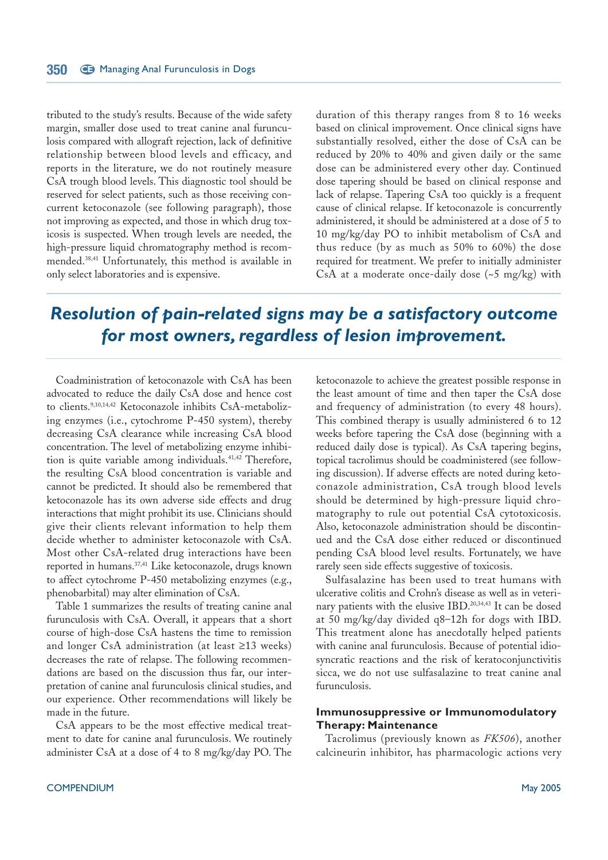tributed to the study's results. Because of the wide safety margin, smaller dose used to treat canine anal furunculosis compared with allograft rejection, lack of definitive relationship between blood levels and efficacy, and reports in the literature, we do not routinely measure CsA trough blood levels. This diagnostic tool should be reserved for select patients, such as those receiving concurrent ketoconazole (see following paragraph), those not improving as expected, and those in which drug toxicosis is suspected. When trough levels are needed, the high-pressure liquid chromatography method is recommended.38,41 Unfortunately, this method is available in only select laboratories and is expensive.

duration of this therapy ranges from 8 to 16 weeks based on clinical improvement. Once clinical signs have substantially resolved, either the dose of CsA can be reduced by 20% to 40% and given daily or the same dose can be administered every other day. Continued dose tapering should be based on clinical response and lack of relapse. Tapering CsA too quickly is a frequent cause of clinical relapse. If ketoconazole is concurrently administered, it should be administered at a dose of 5 to 10 mg/kg/day PO to inhibit metabolism of CsA and thus reduce (by as much as 50% to 60%) the dose required for treatment. We prefer to initially administer CsA at a moderate once-daily dose  $({\sim}5 \text{ mg/kg})$  with

## *Resolution of pain-related signs may be a satisfactory outcome for most owners, regardless of lesion improvement.*

Coadministration of ketoconazole with CsA has been advocated to reduce the daily CsA dose and hence cost to clients.<sup>9,10,14,42</sup> Ketoconazole inhibits CsA-metabolizing enzymes (i.e., cytochrome P-450 system), thereby decreasing CsA clearance while increasing CsA blood concentration. The level of metabolizing enzyme inhibition is quite variable among individuals.<sup>41,42</sup> Therefore, the resulting CsA blood concentration is variable and cannot be predicted. It should also be remembered that ketoconazole has its own adverse side effects and drug interactions that might prohibit its use. Clinicians should give their clients relevant information to help them decide whether to administer ketoconazole with CsA. Most other CsA-related drug interactions have been reported in humans.<sup>37,41</sup> Like ketoconazole, drugs known to affect cytochrome P-450 metabolizing enzymes (e.g., phenobarbital) may alter elimination of CsA.

Table 1 summarizes the results of treating canine anal furunculosis with CsA. Overall, it appears that a short course of high-dose CsA hastens the time to remission and longer CsA administration (at least ≥13 weeks) decreases the rate of relapse. The following recommendations are based on the discussion thus far, our interpretation of canine anal furunculosis clinical studies, and our experience. Other recommendations will likely be made in the future.

CsA appears to be the most effective medical treatment to date for canine anal furunculosis. We routinely administer CsA at a dose of 4 to 8 mg/kg/day PO. The ketoconazole to achieve the greatest possible response in the least amount of time and then taper the CsA dose and frequency of administration (to every 48 hours). This combined therapy is usually administered 6 to 12 weeks before tapering the CsA dose (beginning with a reduced daily dose is typical). As CsA tapering begins, topical tacrolimus should be coadministered (see following discussion). If adverse effects are noted during ketoconazole administration, CsA trough blood levels should be determined by high-pressure liquid chromatography to rule out potential CsA cytotoxicosis. Also, ketoconazole administration should be discontinued and the CsA dose either reduced or discontinued pending CsA blood level results. Fortunately, we have rarely seen side effects suggestive of toxicosis.

Sulfasalazine has been used to treat humans with ulcerative colitis and Crohn's disease as well as in veterinary patients with the elusive IBD.20,34,43 It can be dosed at 50 mg/kg/day divided q8–12h for dogs with IBD. This treatment alone has anecdotally helped patients with canine anal furunculosis. Because of potential idiosyncratic reactions and the risk of keratoconjunctivitis sicca, we do not use sulfasalazine to treat canine anal furunculosis.

#### **Immunosuppressive or Immunomodulatory Therapy: Maintenance**

Tacrolimus (previously known as *FK506*), another calcineurin inhibitor, has pharmacologic actions very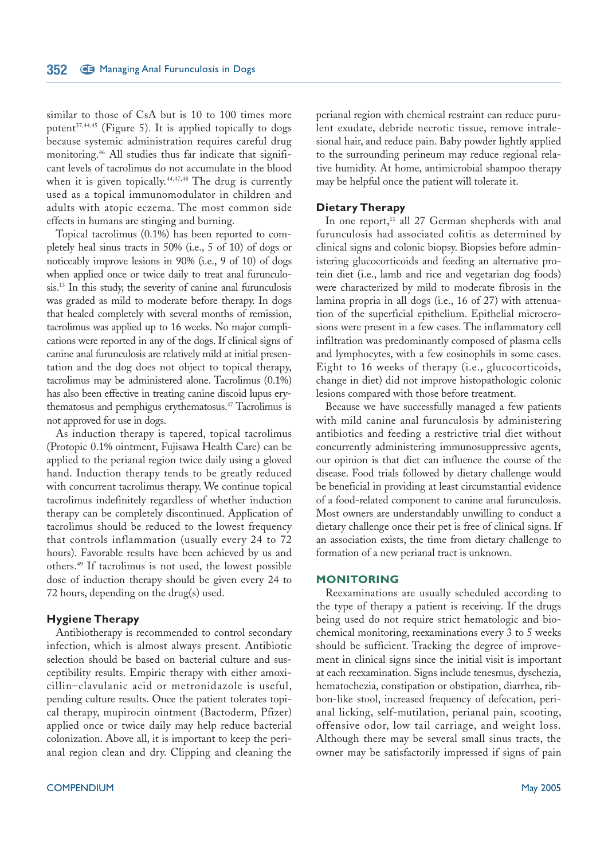similar to those of CsA but is 10 to 100 times more potent $37,44,45$  (Figure 5). It is applied topically to dogs because systemic administration requires careful drug monitoring.<sup>46</sup> All studies thus far indicate that significant levels of tacrolimus do not accumulate in the blood when it is given topically.<sup>44,47,48</sup> The drug is currently used as a topical immunomodulator in children and adults with atopic eczema. The most common side effects in humans are stinging and burning.

Topical tacrolimus (0.1%) has been reported to completely heal sinus tracts in 50% (i.e., 5 of 10) of dogs or noticeably improve lesions in 90% (i.e., 9 of 10) of dogs when applied once or twice daily to treat anal furunculosis.<sup>13</sup> In this study, the severity of canine anal furunculosis was graded as mild to moderate before therapy. In dogs that healed completely with several months of remission, tacrolimus was applied up to 16 weeks. No major complications were reported in any of the dogs. If clinical signs of canine anal furunculosis are relatively mild at initial presentation and the dog does not object to topical therapy, tacrolimus may be administered alone. Tacrolimus (0.1%) has also been effective in treating canine discoid lupus erythematosus and pemphigus erythematosus.<sup>47</sup> Tacrolimus is not approved for use in dogs.

As induction therapy is tapered, topical tacrolimus (Protopic 0.1% ointment, Fujisawa Health Care) can be applied to the perianal region twice daily using a gloved hand. Induction therapy tends to be greatly reduced with concurrent tacrolimus therapy. We continue topical tacrolimus indefinitely regardless of whether induction therapy can be completely discontinued. Application of tacrolimus should be reduced to the lowest frequency that controls inflammation (usually every 24 to 72 hours). Favorable results have been achieved by us and others.<sup>49</sup> If tacrolimus is not used, the lowest possible dose of induction therapy should be given every 24 to 72 hours, depending on the drug(s) used.

#### **Hygiene Therapy**

Antibiotherapy is recommended to control secondary infection, which is almost always present. Antibiotic selection should be based on bacterial culture and susceptibility results. Empiric therapy with either amoxicillin–clavulanic acid or metronidazole is useful, pending culture results. Once the patient tolerates topical therapy, mupirocin ointment (Bactoderm, Pfizer) applied once or twice daily may help reduce bacterial colonization. Above all, it is important to keep the perianal region clean and dry. Clipping and cleaning the

perianal region with chemical restraint can reduce purulent exudate, debride necrotic tissue, remove intralesional hair, and reduce pain. Baby powder lightly applied to the surrounding perineum may reduce regional relative humidity. At home, antimicrobial shampoo therapy may be helpful once the patient will tolerate it.

#### **Dietary Therapy**

In one report,<sup>11</sup> all 27 German shepherds with anal furunculosis had associated colitis as determined by clinical signs and colonic biopsy. Biopsies before administering glucocorticoids and feeding an alternative protein diet (i.e., lamb and rice and vegetarian dog foods) were characterized by mild to moderate fibrosis in the lamina propria in all dogs (i.e., 16 of 27) with attenuation of the superficial epithelium. Epithelial microerosions were present in a few cases. The inflammatory cell infiltration was predominantly composed of plasma cells and lymphocytes, with a few eosinophils in some cases. Eight to 16 weeks of therapy (i.e., glucocorticoids, change in diet) did not improve histopathologic colonic lesions compared with those before treatment.

Because we have successfully managed a few patients with mild canine anal furunculosis by administering antibiotics and feeding a restrictive trial diet without concurrently administering immunosuppressive agents, our opinion is that diet can influence the course of the disease. Food trials followed by dietary challenge would be beneficial in providing at least circumstantial evidence of a food-related component to canine anal furunculosis. Most owners are understandably unwilling to conduct a dietary challenge once their pet is free of clinical signs. If an association exists, the time from dietary challenge to formation of a new perianal tract is unknown.

#### **MONITORING**

Reexaminations are usually scheduled according to the type of therapy a patient is receiving. If the drugs being used do not require strict hematologic and biochemical monitoring, reexaminations every 3 to 5 weeks should be sufficient. Tracking the degree of improvement in clinical signs since the initial visit is important at each reexamination. Signs include tenesmus, dyschezia, hematochezia, constipation or obstipation, diarrhea, ribbon-like stool, increased frequency of defecation, perianal licking, self-mutilation, perianal pain, scooting, offensive odor, low tail carriage, and weight loss. Although there may be several small sinus tracts, the owner may be satisfactorily impressed if signs of pain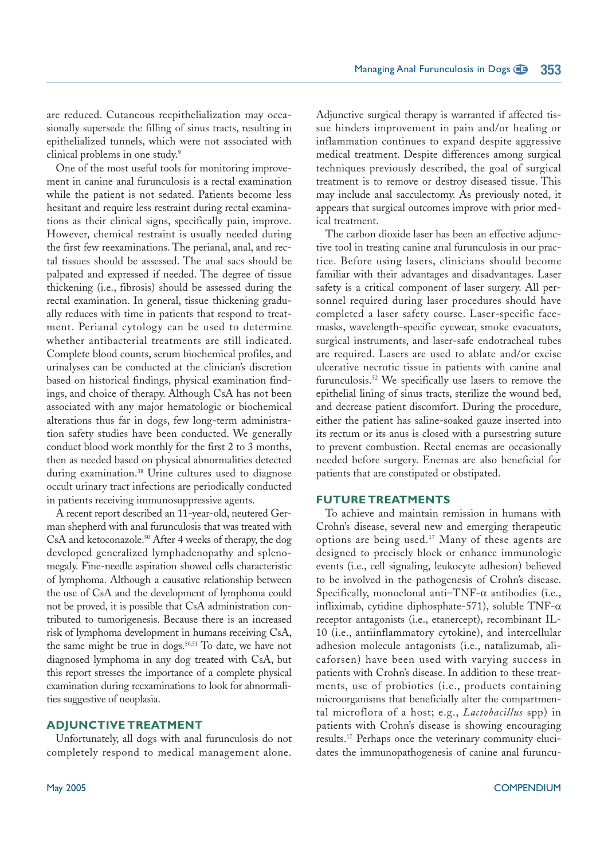are reduced. Cutaneous reepithelialization may occasionally supersede the filling of sinus tracts, resulting in epithelialized tunnels, which were not associated with clinical problems in one study.<sup>9</sup>

One of the most useful tools for monitoring improvement in canine anal furunculosis is a rectal examination while the patient is not sedated. Patients become less hesitant and require less restraint during rectal examinations as their clinical signs, specifically pain, improve. However, chemical restraint is usually needed during the first few reexaminations. The perianal, anal, and rectal tissues should be assessed. The anal sacs should be palpated and expressed if needed. The degree of tissue thickening (i.e., fibrosis) should be assessed during the rectal examination. In general, tissue thickening gradually reduces with time in patients that respond to treatment. Perianal cytology can be used to determine whether antibacterial treatments are still indicated. Complete blood counts, serum biochemical profiles, and urinalyses can be conducted at the clinician's discretion based on historical findings, physical examination findings, and choice of therapy. Although CsA has not been associated with any major hematologic or biochemical alterations thus far in dogs, few long-term administration safety studies have been conducted. We generally conduct blood work monthly for the first 2 to 3 months, then as needed based on physical abnormalities detected during examination.<sup>38</sup> Urine cultures used to diagnose occult urinary tract infections are periodically conducted in patients receiving immunosuppressive agents.

A recent report described an 11-year-old, neutered German shepherd with anal furunculosis that was treated with CsA and ketoconazole.<sup>50</sup> After 4 weeks of therapy, the dog developed generalized lymphadenopathy and splenomegaly. Fine-needle aspiration showed cells characteristic of lymphoma. Although a causative relationship between the use of CsA and the development of lymphoma could not be proved, it is possible that CsA administration contributed to tumorigenesis. Because there is an increased risk of lymphoma development in humans receiving CsA, the same might be true in dogs.<sup>50,51</sup> To date, we have not diagnosed lymphoma in any dog treated with CsA, but this report stresses the importance of a complete physical examination during reexaminations to look for abnormalities suggestive of neoplasia.

#### **ADJUNCTIVE TREATMENT**

Unfortunately, all dogs with anal furunculosis do not completely respond to medical management alone.

Adjunctive surgical therapy is warranted if affected tissue hinders improvement in pain and/or healing or inflammation continues to expand despite aggressive medical treatment. Despite differences among surgical techniques previously described, the goal of surgical treatment is to remove or destroy diseased tissue. This may include anal sacculectomy. As previously noted, it appears that surgical outcomes improve with prior medical treatment.

The carbon dioxide laser has been an effective adjunctive tool in treating canine anal furunculosis in our practice. Before using lasers, clinicians should become familiar with their advantages and disadvantages. Laser safety is a critical component of laser surgery. All personnel required during laser procedures should have completed a laser safety course. Laser-specific facemasks, wavelength-specific eyewear, smoke evacuators, surgical instruments, and laser-safe endotracheal tubes are required. Lasers are used to ablate and/or excise ulcerative necrotic tissue in patients with canine anal furunculosis.<sup>52</sup> We specifically use lasers to remove the epithelial lining of sinus tracts, sterilize the wound bed, and decrease patient discomfort. During the procedure, either the patient has saline-soaked gauze inserted into its rectum or its anus is closed with a pursestring suture to prevent combustion. Rectal enemas are occasionally needed before surgery. Enemas are also beneficial for patients that are constipated or obstipated.

#### **FUTURE TREATMENTS**

To achieve and maintain remission in humans with Crohn's disease, several new and emerging therapeutic options are being used.<sup>17</sup> Many of these agents are designed to precisely block or enhance immunologic events (i.e., cell signaling, leukocyte adhesion) believed to be involved in the pathogenesis of Crohn's disease. Specifically, monoclonal anti-TNF- $\alpha$  antibodies (i.e., infliximab, cytidine diphosphate-571), soluble TNF-α receptor antagonists (i.e., etanercept), recombinant IL-10 (i.e., antiinflammatory cytokine), and intercellular adhesion molecule antagonists (i.e., natalizumab, alicaforsen) have been used with varying success in patients with Crohn's disease. In addition to these treatments, use of probiotics (i.e., products containing microorganisms that beneficially alter the compartmental microflora of a host; e.g., *Lactobacillus* spp) in patients with Crohn's disease is showing encouraging results.<sup>17</sup> Perhaps once the veterinary community elucidates the immunopathogenesis of canine anal furuncu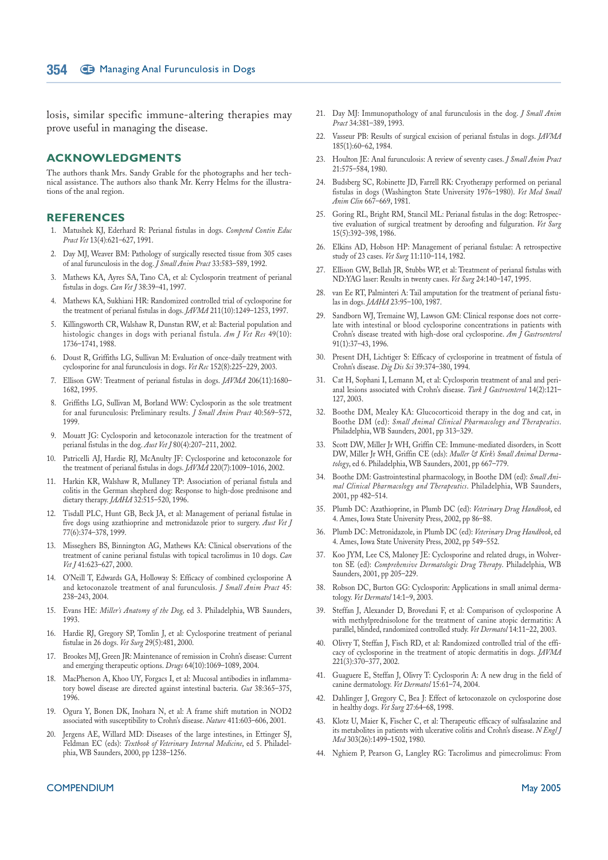losis, similar specific immune-altering therapies may prove useful in managing the disease.

#### **ACKNOWLEDGMENTS**

The authors thank Mrs. Sandy Grable for the photographs and her technical assistance. The authors also thank Mr. Kerry Helms for the illustrations of the anal region.

#### **REFERENCES**

- 1. Matushek KJ, Ederhard R: Perianal fistulas in dogs. *Compend Contin Educ Pract Vet* 13(4):621–627, 1991.
- 2. Day MJ, Weaver BM: Pathology of surgically resected tissue from 305 cases of anal furunculosis in the dog. *J Small Anim Pract* 33:583–589, 1992.
- 3. Mathews KA, Ayres SA, Tano CA, et al: Cyclosporin treatment of perianal fistulas in dogs. *Can Vet J* 38:39–41, 1997.
- 4. Mathews KA, Sukhiani HR: Randomized controlled trial of cyclosporine for the treatment of perianal fistulas in dogs. *JAVMA* 211(10):1249–1253, 1997.
- 5. Killingsworth CR, Walshaw R, Dunstan RW, et al: Bacterial population and histologic changes in dogs with perianal fistula. *Am J Vet Res* 49(10): 1736–1741, 1988.
- 6. Doust R, Griffiths LG, Sullivan M: Evaluation of once-daily treatment with cyclosporine for anal furunculosis in dogs. *Vet Rec* 152(8):225–229, 2003.
- 7. Ellison GW: Treatment of perianal fistulas in dogs. *JAVMA* 206(11):1680– 1682, 1995.
- 8. Griffiths LG, Sullivan M, Borland WW: Cyclosporin as the sole treatment for anal furunculosis: Preliminary results. *J Small Anim Pract* 40:569–572, 1999.
- 9. Mouatt JG: Cyclosporin and ketoconazole interaction for the treatment of perianal fistulas in the dog. *Aust Vet J* 80(4):207–211, 2002.
- 10. Patricelli AJ, Hardie RJ, McAnulty JF: Cyclosporine and ketoconazole for the treatment of perianal fistulas in dogs. *JAVMA* 220(7):1009–1016, 2002.
- 11. Harkin KR, Walshaw R, Mullaney TP: Association of perianal fistula and colitis in the German shepherd dog: Response to high-dose prednisone and dietary therapy. *JAAHA* 32:515–520, 1996.
- 12. Tisdall PLC, Hunt GB, Beck JA, et al: Management of perianal fistulae in five dogs using azathioprine and metronidazole prior to surgery. *Aust Vet J* 77(6):374–378, 1999.
- 13. Misseghers BS, Binnington AG, Mathews KA: Clinical observations of the treatment of canine perianal fistulas with topical tacrolimus in 10 dogs. *Can* Vet J 41:623-627, 2000.
- 14. O'Neill T, Edwards GA, Holloway S: Efficacy of combined cyclosporine A and ketoconazole treatment of anal furunculosis. *J Small Anim Pract* 45: 238–243, 2004.
- 15. Evans HE: *Miller's Anatomy of the Dog,* ed 3. Philadelphia, WB Saunders, 1993.
- 16. Hardie RJ, Gregory SP, Tomlin J, et al: Cyclosporine treatment of perianal fistulae in 26 dogs. *Vet Surg* 29(5):481, 2000.
- 17. Brookes MJ, Green JR: Maintenance of remission in Crohn's disease: Current and emerging therapeutic options. *Drugs* 64(10):1069–1089, 2004.
- 18. MacPherson A, Khoo UY, Forgacs I, et al: Mucosal antibodies in inflammatory bowel disease are directed against intestinal bacteria. *Gut* 38:365–375, 1996.
- 19. Ogura Y, Bonen DK, Inohara N, et al: A frame shift mutation in NOD2 associated with susceptibility to Crohn's disease. *Nature* 411:603–606, 2001.
- 20. Jergens AE, Willard MD: Diseases of the large intestines, in Ettinger SJ, Feldman EC (eds): *Textbook of Veterinary Internal Medicine*, ed 5. Philadelphia, WB Saunders, 2000, pp 1238–1256.
- 21. Day MJ: Immunopathology of anal furunculosis in the dog. *J Small Anim Pract* 34:381–389, 1993.
- 22. Vasseur PB: Results of surgical excision of perianal fistulas in dogs. *JAVMA* 185(1):60–62, 1984.
- 23. Houlton JE: Anal furunculosis: A review of seventy cases. *J Small Anim Pract* 21:575–584, 1980.
- 24. Budsberg SC, Robinette JD, Farrell RK: Cryotherapy performed on perianal fistulas in dogs (Washington State University 1976–1980). *Vet Med Small Anim Clin* 667–669, 1981.
- 25. Goring RL, Bright RM, Stancil ML: Perianal fistulas in the dog: Retrospective evaluation of surgical treatment by deroofing and fulguration. *Vet Surg* 15(5):392–398, 1986.
- 26. Elkins AD, Hobson HP: Management of perianal fistulae: A retrospective study of 23 cases. *Vet Surg* 11:110–114, 1982.
- 27. Ellison GW, Bellah JR, Stubbs WP, et al: Treatment of perianal fistulas with ND:YAG laser: Results in twenty cases. *Vet Surg* 24:140–147, 1995.
- 28. van Ee RT, Palminteri A: Tail amputation for the treatment of perianal fistulas in dogs. *JAAHA* 23:95–100, 1987.
- 29. Sandborn WJ, Tremaine WJ, Lawson GM: Clinical response does not correlate with intestinal or blood cyclosporine concentrations in patients with Crohn's disease treated with high-dose oral cyclosporine. *Am J Gastroenterol* 91(1):37–43, 1996.
- 30. Present DH, Lichtiger S: Efficacy of cyclosporine in treatment of fistula of Crohn's disease. *Dig Dis Sci* 39:374–380, 1994.
- 31. Cat H, Sophani I, Lemann M, et al: Cyclosporin treatment of anal and perianal lesions associated with Crohn's disease. *Turk J Gastroenterol* 14(2):121– 127, 2003.
- 32. Boothe DM, Mealey KA: Glucocorticoid therapy in the dog and cat, in Boothe DM (ed): *Small Animal Clinical Pharmacology and Therapeutics*. Philadelphia, WB Saunders, 2001, pp 313–329.
- 33. Scott DW, Miller Jr WH, Griffin CE: Immune-mediated disorders, in Scott DW, Miller Jr WH, Griffin CE (eds): *Muller & Kirk's Small Animal Dermatology*, ed 6. Philadelphia, WB Saunders, 2001, pp 667–779.
- 34. Boothe DM: Gastrointestinal pharmacology, in Boothe DM (ed): *Small Animal Clinical Pharmacology and Therapeutics*. Philadelphia, WB Saunders, 2001, pp 482–514.
- 35. Plumb DC: Azathioprine, in Plumb DC (ed): *Veterinary Drug Handbook*, ed 4. Ames, Iowa State University Press, 2002, pp 86–88.
- 36. Plumb DC: Metronidazole, in Plumb DC (ed): *Veterinary Drug Handbook*, ed 4. Ames, Iowa State University Press, 2002, pp 549–552.
- 37. Koo JYM, Lee CS, Maloney JE: Cyclosporine and related drugs, in Wolverton SE (ed): *Comprehensive Dermatologic Drug Therapy*. Philadelphia, WB Saunders, 2001, pp 205–229.
- 38. Robson DC, Burton GG: Cyclosporin: Applications in small animal dermatology. *Vet Dermatol* 14:1–9, 2003.
- 39. Steffan J, Alexander D, Brovedani F, et al: Comparison of cyclosporine A with methylprednisolone for the treatment of canine atopic dermatitis: A parallel, blinded, randomized controlled study. *Vet Dermatol* 14:11–22, 2003.
- 40. Olivry T, Steffan J, Fisch RD, et al: Randomized controlled trial of the efficacy of cyclosporine in the treatment of atopic dermatitis in dogs. *JAVMA* 221(3):370–377, 2002.
- 41. Guaguere E, Steffan J, Olivry T: Cyclosporin A: A new drug in the field of canine dermatology. *Vet Dermatol* 15:61–74, 2004.
- 42. Dahlinger J, Gregory C, Bea J: Effect of ketoconazole on cyclosporine dose in healthy dogs. *Vet Surg* 27:64–68, 1998.
- 43. Klotz U, Maier K, Fischer C, et al: Therapeutic efficacy of sulfasalazine and its metabolites in patients with ulcerative colitis and Crohn's disease. *N Engl J Med* 303(26):1499–1502, 1980.
- 44. Nghiem P, Pearson G, Langley RG: Tacrolimus and pimecrolimus: From